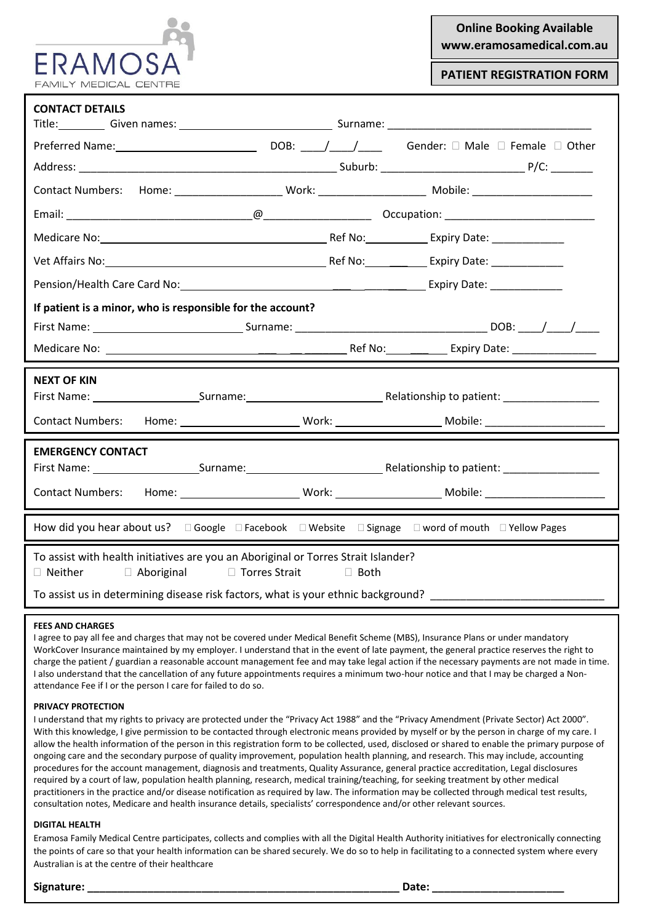| Onlin |
|-------|
| www.e |

# **Online Booking Available www.eramosamedical.com.au**

**PATIENT REGISTRATION FORM**

| <b>CONTACT DETAILS</b><br>Title: Given names: 1990 Communication Communication Communication Communication Communication Communication C               |                                                        |  |  |  |  |
|--------------------------------------------------------------------------------------------------------------------------------------------------------|--------------------------------------------------------|--|--|--|--|
|                                                                                                                                                        |                                                        |  |  |  |  |
|                                                                                                                                                        |                                                        |  |  |  |  |
| Contact Numbers: Home: _______________________ Work: _______________________ Mobile: _________________________                                         |                                                        |  |  |  |  |
|                                                                                                                                                        |                                                        |  |  |  |  |
| Medicare No: Medicare No: Medicare No: Medicare No: Medicare No: Medicare No: Medicare No: Medicare No: Medica                                         |                                                        |  |  |  |  |
|                                                                                                                                                        |                                                        |  |  |  |  |
|                                                                                                                                                        |                                                        |  |  |  |  |
| If patient is a minor, who is responsible for the account?                                                                                             |                                                        |  |  |  |  |
|                                                                                                                                                        |                                                        |  |  |  |  |
|                                                                                                                                                        |                                                        |  |  |  |  |
| <b>NEXT OF KIN</b>                                                                                                                                     |                                                        |  |  |  |  |
|                                                                                                                                                        |                                                        |  |  |  |  |
| <b>Contact Numbers:</b>                                                                                                                                |                                                        |  |  |  |  |
| <b>EMERGENCY CONTACT</b>                                                                                                                               |                                                        |  |  |  |  |
|                                                                                                                                                        | First Name: Surname: Surname: Relationship to patient: |  |  |  |  |
| <b>Contact Numbers:</b>                                                                                                                                |                                                        |  |  |  |  |
| How did you hear about us? $\square$ Google $\square$ Facebook $\square$ Website $\square$ Signage $\square$ word of mouth $\square$ Yellow Pages      |                                                        |  |  |  |  |
| To assist with health initiatives are you an Aboriginal or Torres Strait Islander?<br>□ Torres Strait<br>□ Neither<br>$\Box$ Aboriginal<br>$\Box$ Both |                                                        |  |  |  |  |
| To assist us in determining disease risk factors, what is your ethnic background?                                                                      |                                                        |  |  |  |  |

### **FEES AND CHARGES**

I agree to pay all fee and charges that may not be covered under Medical Benefit Scheme (MBS), Insurance Plans or under mandatory WorkCover Insurance maintained by my employer. I understand that in the event of late payment, the general practice reserves the right to charge the patient / guardian a reasonable account management fee and may take legal action if the necessary payments are not made in time. I also understand that the cancellation of any future appointments requires a minimum two-hour notice and that I may be charged a Nonattendance Fee if I or the person I care for failed to do so.

### **PRIVACY PROTECTION**

I understand that my rights to privacy are protected under the "Privacy Act 1988" and the "Privacy Amendment (Private Sector) Act 2000". With this knowledge, I give permission to be contacted through electronic means provided by myself or by the person in charge of my care. I allow the health information of the person in this registration form to be collected, used, disclosed or shared to enable the primary purpose of ongoing care and the secondary purpose of quality improvement, population health planning, and research. This may include, accounting procedures for the account management, diagnosis and treatments, Quality Assurance, general practice accreditation, Legal disclosures required by a court of law, population health planning, research, medical training/teaching, for seeking treatment by other medical practitioners in the practice and/or disease notification as required by law. The information may be collected through medical test results, consultation notes, Medicare and health insurance details, specialists' correspondence and/or other relevant sources.

### **DIGITAL HEALTH**

Eramosa Family Medical Centre participates, collects and complies with all the Digital Health Authority initiatives for electronically connecting the points of care so that your health information can be shared securely. We do so to help in facilitating to a connected system where every Australian is at the centre of their healthcare

**Signature: \_\_\_\_\_\_\_\_\_\_\_\_\_\_\_\_\_\_\_\_\_\_\_\_\_\_\_\_\_\_\_\_\_\_\_\_\_\_\_\_\_\_\_\_\_\_\_\_\_\_\_\_ Date: \_\_\_\_\_\_\_\_\_\_\_\_\_\_\_\_\_\_\_\_\_\_**